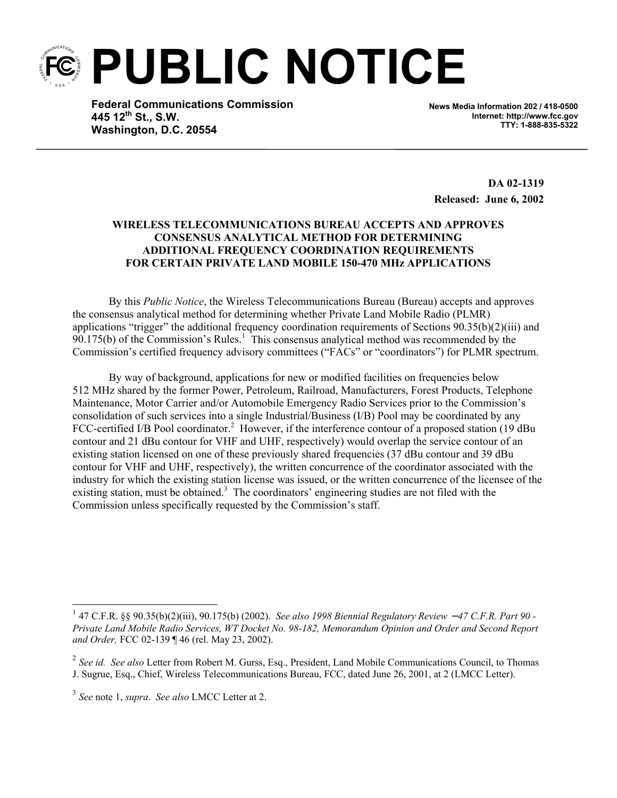**PUBLIC NOTICE** 

**Federal Communications Commission 445 12th St., S.W. Washington, D.C. 20554**

**News Media Information 202 / 418-0500 Internet: http://www.fcc.gov TTY: 1-888-835-5322**

**DA 02-1319 Released: June 6, 2002**

## **WIRELESS TELECOMMUNICATIONS BUREAU ACCEPTS AND APPROVES CONSENSUS ANALYTICAL METHOD FOR DETERMINING ADDITIONAL FREQUENCY COORDINATION REQUIREMENTS FOR CERTAIN PRIVATE LAND MOBILE 150-470 MHz APPLICATIONS**

By this *Public Notice*, the Wireless Telecommunications Bureau (Bureau) accepts and approves the consensus analytical method for determining whether Private Land Mobile Radio (PLMR) applications "trigger" the additional frequency coordination requirements of Sections  $90.35(b)(2)(iii)$  and  $90.175(b)$  of the Commission's Rules.<sup>1</sup> This consensus analytical method was recommended by the Commission's certified frequency advisory committees ("FACs" or "coordinators") for PLMR spectrum.

By way of background, applications for new or modified facilities on frequencies below 512 MHz shared by the former Power, Petroleum, Railroad, Manufacturers, Forest Products, Telephone Maintenance, Motor Carrier and/or Automobile Emergency Radio Services prior to the Commission's consolidation of such services into a single Industrial/Business (I/B) Pool may be coordinated by any FCC-certified I/B Pool coordinator.<sup>2</sup> However, if the interference contour of a proposed station (19 dBu contour and 21 dBu contour for VHF and UHF, respectively) would overlap the service contour of an existing station licensed on one of these previously shared frequencies (37 dBu contour and 39 dBu contour for VHF and UHF, respectively), the written concurrence of the coordinator associated with the industry for which the existing station license was issued, or the written concurrence of the licensee of the existing station, must be obtained.<sup>3</sup> The coordinators' engineering studies are not filed with the Commission unless specifically requested by the Commission's staff.

 $\overline{\phantom{a}}$ 

<sup>1</sup> 47 C.F.R. §§ 90.35(b)(2)(iii), 90.175(b) (2002). *See also 1998 Biennial Regulatory Review* − *47 C.F.R. Part 90 - Private Land Mobile Radio Services, WT Docket No. 98-182, Memorandum Opinion and Order and Second Report and Order,* FCC 02-139 ¶ 46 (rel. May 23, 2002).

<sup>2</sup> *See id. See also* Letter from Robert M. Gurss, Esq., President, Land Mobile Communications Council, to Thomas J. Sugrue, Esq., Chief, Wireless Telecommunications Bureau, FCC, dated June 26, 2001, at 2 (LMCC Letter).

<sup>3</sup> *See* note 1, *supra*. *See also* LMCC Letter at 2.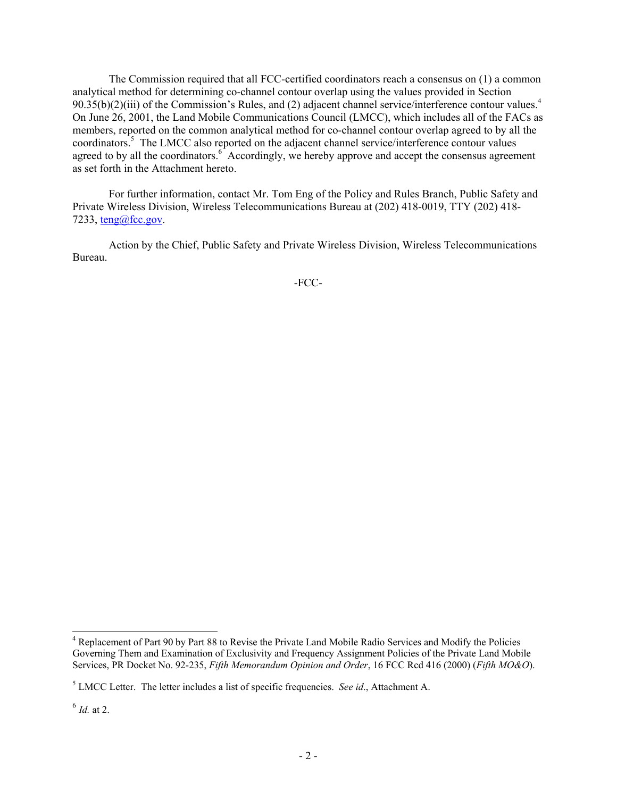The Commission required that all FCC-certified coordinators reach a consensus on (1) a common analytical method for determining co-channel contour overlap using the values provided in Section  $90.35(b)(2)$ (iii) of the Commission's Rules, and (2) adjacent channel service/interference contour values.<sup>4</sup> On June 26, 2001, the Land Mobile Communications Council (LMCC), which includes all of the FACs as members, reported on the common analytical method for co-channel contour overlap agreed to by all the coordinators.<sup>5</sup> The LMCC also reported on the adjacent channel service/interference contour values agreed to by all the coordinators.<sup>6</sup> Accordingly, we hereby approve and accept the consensus agreement as set forth in the Attachment hereto.

For further information, contact Mr. Tom Eng of the Policy and Rules Branch, Public Safety and Private Wireless Division, Wireless Telecommunications Bureau at (202) 418-0019, TTY (202) 418- 7233,  $teng@fcc.gov$ .

Action by the Chief, Public Safety and Private Wireless Division, Wireless Telecommunications Bureau.

-FCC-

l

<sup>&</sup>lt;sup>4</sup> Replacement of Part 90 by Part 88 to Revise the Private Land Mobile Radio Services and Modify the Policies Governing Them and Examination of Exclusivity and Frequency Assignment Policies of the Private Land Mobile Services, PR Docket No. 92-235, *Fifth Memorandum Opinion and Order*, 16 FCC Rcd 416 (2000) (*Fifth MO&O*).

<sup>5</sup> LMCC Letter. The letter includes a list of specific frequencies. *See id*., Attachment A.

 $^6$  *Id.* at 2.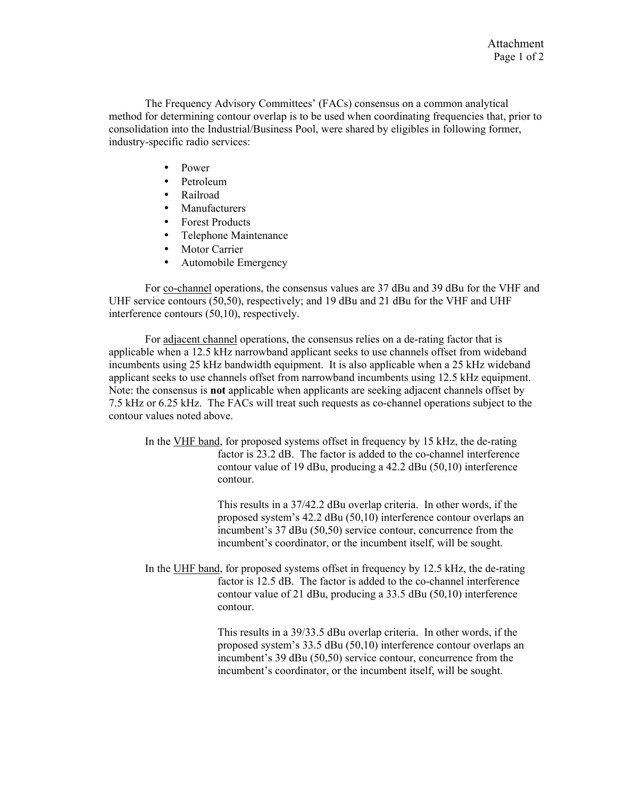The Frequency Advisory Committees' (FACs) consensus on a common analytical method for determining contour overlap is to be used when coordinating frequencies that, prior to consolidation into the Industrial/Business Pool, were shared by eligibles in following former, industry-specific radio services:

- Power
- Petroleum
- Railroad
- Manufacturers
- Forest Products
- Telephone Maintenance
- Motor Carrier
- Automobile Emergency

For co-channel operations, the consensus values are 37 dBu and 39 dBu for the VHF and UHF service contours (50,50), respectively; and 19 dBu and 21 dBu for the VHF and UHF interference contours (50,10), respectively.

For adjacent channel operations, the consensus relies on a de-rating factor that is applicable when a 12.5 kHz narrowband applicant seeks to use channels offset from wideband incumbents using 25 kHz bandwidth equipment. It is also applicable when a 25 kHz wideband applicant seeks to use channels offset from narrowband incumbents using 12.5 kHz equipment. Note: the consensus is **not** applicable when applicants are seeking adjacent channels offset by 7.5 kHz or 6.25 kHz. The FACs will treat such requests as co-channel operations subject to the contour values noted above.

In the VHF band, for proposed systems offset in frequency by 15 kHz, the de-rating factor is 23.2 dB. The factor is added to the co-channel interference contour value of 19 dBu, producing a 42.2 dBu (50,10) interference contour.

> This results in a 37/42.2 dBu overlap criteria. In other words, if the proposed system's 42.2 dBu (50,10) interference contour overlaps an incumbent's 37 dBu (50,50) service contour, concurrence from the incumbent's coordinator, or the incumbent itself, will be sought.

In the UHF band, for proposed systems offset in frequency by 12.5 kHz, the de-rating factor is 12.5 dB. The factor is added to the co-channel interference contour value of 21 dBu, producing a 33.5 dBu (50,10) interference contour.

> This results in a 39/33.5 dBu overlap criteria. In other words, if the proposed system's 33.5 dBu (50,10) interference contour overlaps an incumbent's 39 dBu (50,50) service contour, concurrence from the incumbent's coordinator, or the incumbent itself, will be sought.